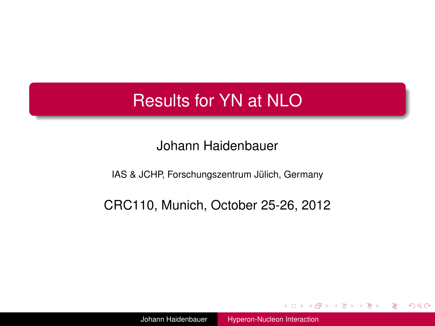# Results for YN at NLO

#### Johann Haidenbauer

IAS & JCHP, Forschungszentrum Jülich, Germany

#### CRC110, Munich, October 25-26, 2012

Johann Haidenbauer [Hyperon-Nucleon Interaction](#page-35-0)

4 0 8

 $\mathbf{p}_i$ 

(する) する (音)

э

<span id="page-0-0"></span> $QQQ$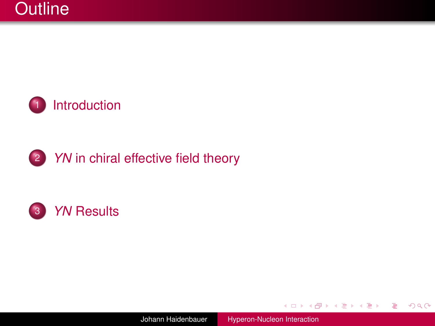

## 2 *YN* [in chiral effective field theory](#page-4-0)



Johann Haidenbauer [Hyperon-Nucleon Interaction](#page-0-0)

4日下

 $\langle \oplus \rangle$  >  $\langle \oplus \rangle$  >  $\langle \oplus \rangle$ 

÷,

 $299$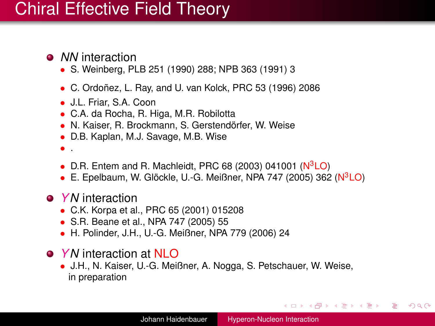# Chiral Effective Field Theory

- *NN* interaction
	- S. Weinberg, PLB 251 (1990) 288; NPB 363 (1991) 3
	- C. Ordoñez, L. Ray, and U. van Kolck, PRC 53 (1996) 2086
	- J.L. Friar, S.A. Coon
	- C.A. da Rocha, R. Higa, M.R. Robilotta
	- N. Kaiser, R. Brockmann, S. Gerstendörfer, W. Weise
	- D.B. Kaplan, M.J. Savage, M.B. Wise
	- .
	- D.R. Entem and R. Machleidt, PRC 68 (2003) 041001 ( $N<sup>3</sup>LO$ )
	- E. Epelbaum, W. Glöckle, U.-G. Meißner, NPA 747 (2005) 362 (N3LO)
- *YN* interaction
	- C.K. Korpa et al., PRC 65 (2001) 015208
	- S.R. Beane et al., NPA 747 (2005) 55
	- H. Polinder, J.H., U.-G. Meißner, NPA 779 (2006) 24
- *YN* interaction at NLO
	- J.H., N. Kaiser, U.-G. Meißner, A. Nogga, S. Petschauer, W. Weise, in preparation

<span id="page-2-0"></span>イロト イ押 トイヨ トイヨ トー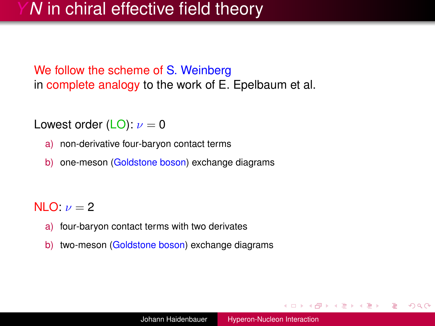# *N* in chiral effective field theory

We follow the scheme of S. Weinberg in complete analogy to the work of E. Epelbaum et al.

Lowest order (LO):  $\nu = 0$ 

- a) non-derivative four-baryon contact terms
- b) one-meson (Goldstone boson) exchange diagrams

#### NLO:  $\nu = 2$

- a) four-baryon contact terms with two derivates
- b) two-meson (Goldstone boson) exchange diagrams

 $\langle \oplus \rangle$  >  $\langle \oplus \rangle$  >  $\langle \oplus \rangle$ 

 $\Omega$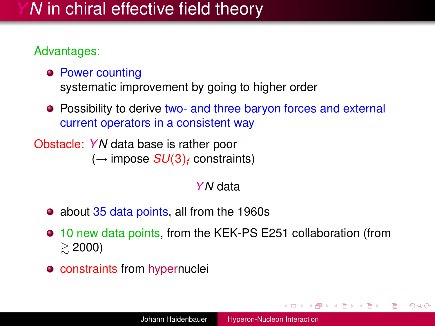# *N* in chiral effective field theory

#### Advantages:

**• Power counting** 

systematic improvement by going to higher order

**•** Possibility to derive two- and three baryon forces and external current operators in a consistent way

Obstacle: *YN* data base is rather poor  $(\rightarrow$  impose  $SU(3)_f$  constraints)

#### *YN* data

- about 35 data points, all from the 1960s
- 10 new data points, from the KEK-PS E251 collaboration (from  $\geq 2000$
- **o** constraints from hypernuclei

 $\langle \oplus \rangle$  >  $\langle \oplus \rangle$  >  $\langle \oplus \rangle$ 

<span id="page-4-0"></span> $\Omega$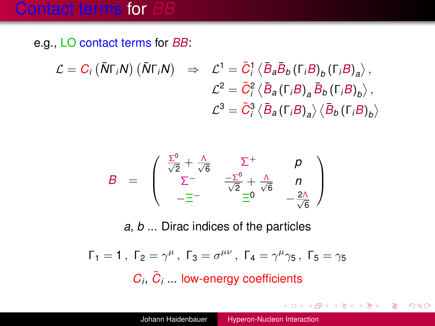## **Contact terms for**

e.g., LO contact terms for *BB*:

$$
\mathcal{L} = C_i \left( \bar{N} \Gamma_i N \right) \left( \bar{N} \Gamma_i N \right) \Rightarrow \mathcal{L}^1 = \tilde{C}_i^1 \left\langle \bar{B}_a \bar{B}_b \left( \Gamma_i B \right)_b \left( \Gamma_i B \right)_a \right\rangle,
$$
  

$$
\mathcal{L}^2 = \tilde{C}_i^2 \left\langle \bar{B}_a \left( \Gamma_i B \right)_a \bar{B}_b \left( \Gamma_i B \right)_b \right\rangle,
$$
  

$$
\mathcal{L}^3 = \tilde{C}_i^3 \left\langle \bar{B}_a \left( \Gamma_i B \right)_a \right\rangle \left\langle \bar{B}_b \left( \Gamma_i B \right)_b \right\rangle
$$

$$
B = \begin{pmatrix} \frac{\Sigma^0}{\sqrt{2}} + \frac{\Lambda}{\sqrt{6}} & \Sigma^+ & p \\ \Sigma^- & \frac{-\Sigma^0}{\sqrt{2}} + \frac{\Lambda}{\sqrt{6}} & n \\ -\Xi^- & \Xi^0 & -\frac{2\Lambda}{\sqrt{6}} \end{pmatrix}
$$

*a*, *b* ... Dirac indices of the particles

$$
\Gamma_1 = 1, \ \Gamma_2 = \gamma^{\mu}, \ \Gamma_3 = \sigma^{\mu\nu}, \ \Gamma_4 = \gamma^{\mu}\gamma_5, \ \Gamma_5 = \gamma_5
$$
  

$$
C_i, \ \tilde{C}_i \dots
$$
 low-energy coefficients

÷.

イロト イ押 トイヨ トイヨ トー

 $299$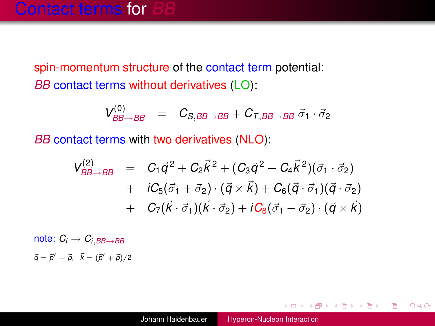spin-momentum structure of the contact term potential: *BB* contact terms without derivatives (LO):

$$
V^{(0)}_{BB\rightarrow BB} = C_{S,BB\rightarrow BB} + C_{T,BB\rightarrow BB} \vec{\sigma}_1 \cdot \vec{\sigma}_2
$$

*BB* contact terms with two derivatives (NLO):

$$
V_{BB\rightarrow BB}^{(2)} = C_1 \vec{q}^2 + C_2 \vec{k}^2 + (C_3 \vec{q}^2 + C_4 \vec{k}^2)(\vec{\sigma}_1 \cdot \vec{\sigma}_2) + iC_5(\vec{\sigma}_1 + \vec{\sigma}_2) \cdot (\vec{q} \times \vec{k}) + C_6(\vec{q} \cdot \vec{\sigma}_1)(\vec{q} \cdot \vec{\sigma}_2) + C_7(\vec{k} \cdot \vec{\sigma}_1)(\vec{k} \cdot \vec{\sigma}_2) + iC_8(\vec{\sigma}_1 - \vec{\sigma}_2) \cdot (\vec{q} \times \vec{k})
$$

note:  $C_i \rightarrow C_{i,BB\rightarrow BB}$  $\vec{q} = \vec{p}' - \vec{p}$ ;  $\vec{k} = (\vec{p}' + \vec{p})/2$ 

÷.

 $2Q$ 

←ロ ▶ ←何 ▶ ← ヨ ▶ ← ヨ ▶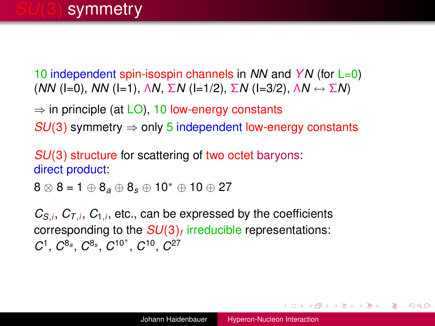# **symmetry**

10 independent spin-isospin channels in *NN* and *YN* (for L=0) (*NN* (I=0), *NN* (I=1), Λ*N*, Σ*N* (I=1/2), Σ*N* (I=3/2), Λ*N* ↔ Σ*N*)

 $\Rightarrow$  in principle (at LO), 10 low-energy constants *SU*(3) symmetry  $\Rightarrow$  only 5 independent low-energy constants

*SU*(3) structure for scattering of two octet baryons: direct product:

<sup>8</sup> <sup>⊗</sup> 8 = 1 <sup>⊕</sup> <sup>8</sup>*<sup>a</sup>* <sup>⊕</sup> <sup>8</sup>*<sup>s</sup>* <sup>⊕</sup> <sup>10</sup><sup>∗</sup> <sup>⊕</sup> <sup>10</sup> <sup>⊕</sup> <sup>27</sup>

 $C_{S,i}$ ,  $C_{T,i}$ ,  $C_{1,i}$ , etc., can be expressed by the coefficients corresponding to the *SU*(3)*<sup>f</sup>* irreducible representations:  $C$ <sup>1</sup>,  $C$ <sup>8<sub>*a*</sup></sub>,  $C$ <sup>8</sup><sup>*s*</sup>,  $C$ <sup>10<sup>∗</sup>,  $C$ <sup>10</sup>,  $C$ <sup>27</sup></sup></sup>

イロン イ押ン イヨン イヨン 一重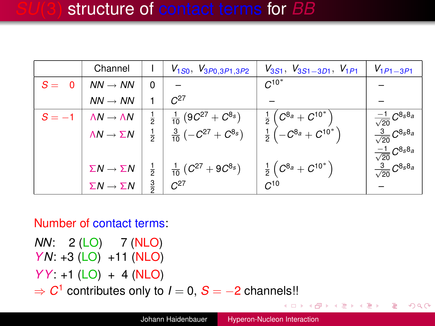|         | Channel                           |               | $V_{1S0}, V_{3P0,3P1,3P2}$                                                  | $V_{3S1}$ , $V_{3S1-3D1}$ , $V_{1P1}$                                                             | $V_{1P1-3P1}$                      |
|---------|-----------------------------------|---------------|-----------------------------------------------------------------------------|---------------------------------------------------------------------------------------------------|------------------------------------|
| $S = 0$ | $NN \rightarrow NN$               | $\Omega$      |                                                                             | $C^{10^*}$                                                                                        |                                    |
|         | $NN \rightarrow NN$               |               | $C^{27}$                                                                    |                                                                                                   |                                    |
|         | $\Lambda N \rightarrow \Lambda N$ | $\frac{1}{2}$ | $\frac{1}{10}$ $(9C^{27} + C^{8s})$                                         |                                                                                                   | $\frac{-1}{\sqrt{20}} C^{8_S 8_a}$ |
|         | $\Lambda N \rightarrow \Sigma N$  |               | $\frac{3}{10}(-C^{27}+C^{8s})$                                              | $\frac{1}{2}\left(C^{8_{a}}+C^{10^{*}}\right)$<br>$\frac{1}{2}\left(-C^{8_{a}}+C^{10^{*}}\right)$ | $\frac{3}{\sqrt{20}}C^{8s8a}$      |
|         |                                   |               |                                                                             |                                                                                                   | $\frac{-1}{\sqrt{20}}C^{8s8a}$     |
|         | $\Sigma N \rightarrow \Sigma N$   |               | $\frac{1}{2}$ $\frac{1}{10}$ $(C^{27} + 9C^{8s})$<br>$\frac{3}{2}$ $C^{27}$ | $\frac{1}{2}\left(\,C^{8_{a}}+C^{10^{\ast}}\,\right)$                                             | $\frac{3}{\sqrt{20}}C^{8s8a}$      |
|         | $\Sigma N \rightarrow \Sigma N$   | $\frac{3}{2}$ |                                                                             | $C^{10}$                                                                                          |                                    |

#### Number of contact terms:

*NN*: 2 (LO) 7 (NLO) *YN*: +3 (LO) +11 (NLO)

*YY*: +1 (LO) + 4 (NLO)

 $\Rightarrow$   $C^1$  contributes only to  $I = 0$ ,  $S = -2$  channels!!

÷.

 $2Q$ 

ヨメ イヨメー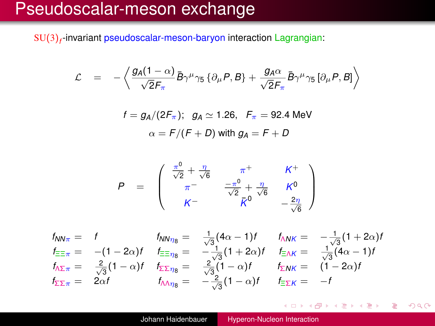# Pseudoscalar-meson exchange

SU(3) *f* -invariant pseudoscalar-meson-baryon interaction Lagrangian:

$$
\mathcal{L} = -\left\langle \frac{g_A(1-\alpha)}{\sqrt{2}F_\pi} \bar{B} \gamma^\mu \gamma_5 \left\{ \partial_\mu P, B \right\} + \frac{g_A \alpha}{\sqrt{2}F_\pi} \bar{B} \gamma^\mu \gamma_5 \left[ \partial_\mu P, B \right] \right\rangle
$$

$$
f = g_A/(2F_\pi); \quad g_A \simeq 1.26, \quad F_\pi = 92.4 \text{ MeV}
$$

$$
\alpha = F/(F+D) \text{ with } g_A = F+D
$$

$$
P = \begin{pmatrix} \frac{\pi^0}{\sqrt{2}} + \frac{\eta}{\sqrt{6}} & \pi^+ & K^+ \\ \pi^- & \frac{-\pi^0}{\sqrt{2}} + \frac{\eta}{\sqrt{6}} & K^0 \\ K^- & \bar{K}^0 & -\frac{2\eta}{\sqrt{6}} \end{pmatrix}
$$

$$
f_{NN\pi} = f_{\frac{\pi}{2\pi}} = f_{NN\eta_8} = \frac{1}{\sqrt{3}}(4\alpha - 1)f_{NNK} = -\frac{1}{\sqrt{3}}(1 + 2\alpha)f_{\frac{\pi}{2\pi}} = -(1 - 2\alpha)f_{\frac{\pi}{2\pi}} = -\frac{1}{\sqrt{3}}(1 + 2\alpha)f_{\frac{\pi}{2\pi}} = \frac{1}{\sqrt{3}}(4\alpha - 1)f_{\frac{\pi}{2\pi}} = \frac{2}{\sqrt{3}}(1 - \alpha)f_{\frac{\pi}{2\pi}} = \frac{2}{\sqrt{3}}(1 - \alpha)f_{\frac{\pi}{2\pi}} = (1 - 2\alpha)f_{\frac{\pi}{2\pi}} = 2\alpha f_{\frac{\pi}{2\pi}} = -\frac{2}{\sqrt{3}}(1 - \alpha)f_{\frac{\pi}{2\pi}} = -f
$$

イロン イ部ン イミン イモン

÷.

 $299$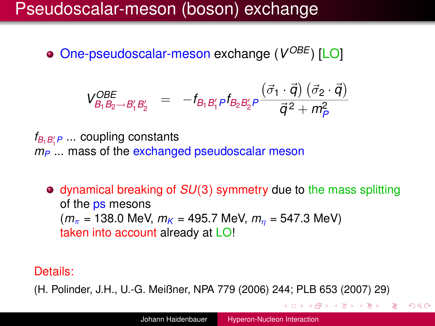# Pseudoscalar-meson (boson) exchange

One-pseudoscalar-meson exchange (V<sup>OBE</sup>) [LO]

$$
V_{B_1 B_2 \to B'_1 B'_2}^{OBE} = -f_{B_1 B'_1 P} f_{B_2 B'_2 P} \frac{(\vec{\sigma}_1 \cdot \vec{q}) (\vec{\sigma}_2 \cdot \vec{q})}{\vec{q}^2 + m_P^2}
$$

 $f_{B_1B_1^\prime P}$  ... coupling constants  $m_P$  ... mass of the exchanged pseudoscalar meson

dynamical breaking of *SU*(3) symmetry due to the mass splitting of the ps mesons  $(m_{\pi} = 138.0 \text{ MeV}, m_{K} = 495.7 \text{ MeV}, m_{n} = 547.3 \text{ MeV})$ taken into account already at LO!

#### Details:

(H. Polinder, J.H., U.-G. Meißner, NPA 779 (2006) 244; PLB 653 (2007) 29)

K ロ ▶ K 御 ▶ K 君 ▶ K 君 ▶ ○ 君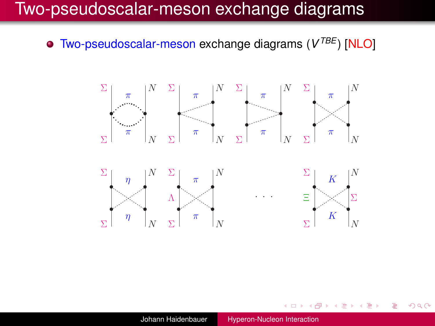# Two-pseudoscalar-meson exchange diagrams

Two-pseudoscalar-meson exchange diagrams ( $V^{IBE}$ ) [NLO]



K ロ ▶ K @ ▶ K 경 ▶ K 경 ▶ ○ 경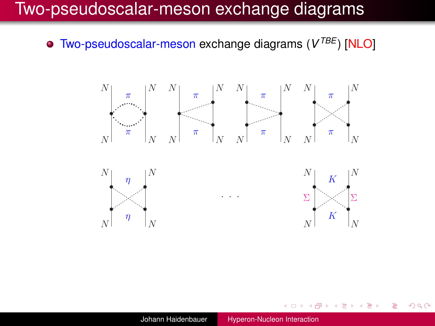# Two-pseudoscalar-meson exchange diagrams

Two-pseudoscalar-meson exchange diagrams ( $V^{IBE}$ ) [NLO]



K 何 ▶ K ヨ ▶ K ヨ ▶ ...

э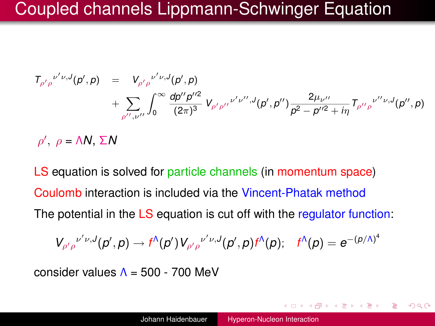# Coupled channels Lippmann-Schwinger Equation

$$
T_{\rho' \rho}{}^{\nu' \nu, J}(\rho', \rho) = V_{\rho' \rho}{}^{\nu' \nu, J}(\rho', \rho) + \sum_{\rho'', \nu''} \int_0^\infty \frac{d\rho'' \rho''^2}{(2\pi)^3} V_{\rho' \rho''}{}^{\nu' \nu'', J}(\rho', \rho'') \frac{2\mu_{\nu''}}{\rho^2 - \rho''^2 + i\eta} T_{\rho'' \rho}{}^{\nu'' \nu, J}(\rho'', \rho)
$$

 $ρ'$ ,  $ρ = \Lambda N$ ,  $ΣN$ 

LS equation is solved for particle channels (in momentum space) Coulomb interaction is included via the Vincent-Phatak method The potential in the LS equation is cut off with the regulator function:

$$
V_{\rho'\rho}^{\nu'\nu,J}(p',p)\rightarrow f^{\Lambda}(p')V_{\rho'\rho}^{\nu'\nu,J}(p',p)f^{\Lambda}(p);\quad f^{\Lambda}(p)=e^{-(p/\Lambda)^{4}}
$$

consider values  $\Lambda = 500 - 700$  MeV

おぼぼおぼ 重める

Þ  $QQQ$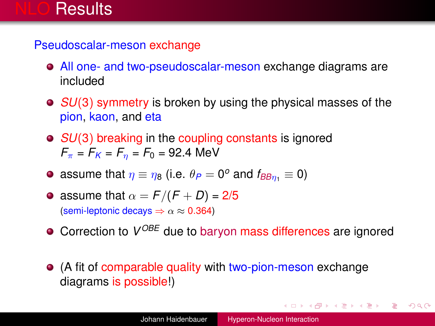# Results

Pseudoscalar-meson exchange

- All one- and two-pseudoscalar-meson exchange diagrams are included
- *SU*(3) symmetry is broken by using the physical masses of the pion, kaon, and eta
- *SU*(3) breaking in the coupling constants is ignored  $F_{\pi} = F_K = F_n = F_0 = 92.4$  MeV
- assume that  $\eta \equiv \eta_8$  (i.e.  $\theta_P = 0^\text{o}$  and  $f_{\text{BB}\eta_1} \equiv 0$ )
- assume that  $\alpha = F/(F+D) = 2/5$ (semi-leptonic decays  $\Rightarrow \alpha \approx 0.364$ )
- Correction to  $V^{OBE}$  due to baryon mass differences are ignored
- (A fit of comparable quality with two-pion-meson exchange diagrams is possible!)

<span id="page-14-0"></span>KOD KAP KED KED E YORA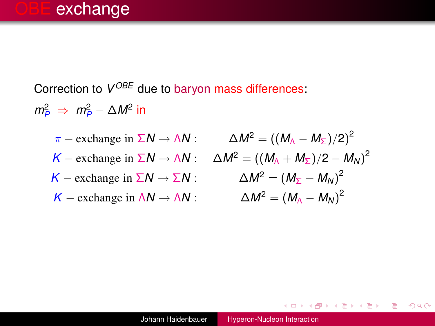Correction to  $V^{OBE}$  due to baryon mass differences:

 $m_P^2 \Rightarrow m_P^2 - \Delta M^2$  in

 $\pi$  – exchange in  $\Sigma N \rightarrow \Lambda N$ :  $\Delta M^2 = ((M_A - M_{\Sigma})/2)^2$  $K -$  exchange in  $\Sigma N \rightarrow \Lambda N$ :  $\Delta M^2 = ((M_\Lambda + M_\Sigma)/2 - M_N)^2$  $K$  − exchange in  $\Sigma N \rightarrow \Sigma N$  :  $\Delta M^2 = (M_{\Sigma} - M_N)^2$  $K -$  exchange in  $\Lambda N \rightarrow \Lambda N$  :  $\Delta M^2 = (M_A - M_N)^2$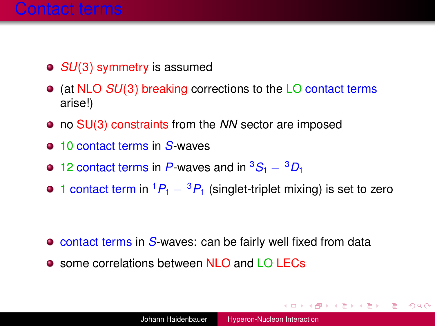- *SU*(3) symmetry is assumed
- (at NLO *SU*(3) breaking corrections to the LO contact terms arise!)
- no SU(3) constraints from the *NN* sector are imposed
- 10 contact terms in S-waves
- **■** 12 contact terms in *P*-waves and in <sup>3</sup>S<sub>1</sub> − <sup>3</sup>D<sub>1</sub>
- 1 contact term in  ${}^{1}P_{1} {}^{3}P_{1}$  (singlet-triplet mixing) is set to zero

- **o** contact terms in *S*-waves: can be fairly well fixed from data
- $\bullet$  some correlations between NLO and LO LECs

K ロ ▶ K @ ▶ K 할 ▶ K 할 ▶ 이 할 → 90 Q @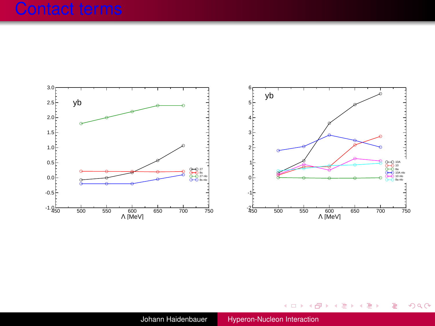## Contact terms



メロトメ 御 トメ 君 トメ 君 トー

重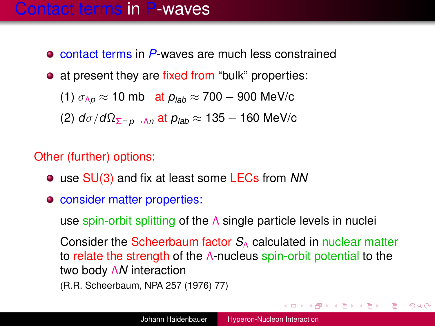## Contact terms in P-waves

- contact terms in P-waves are much less constrained
- at present they are fixed from "bulk" properties:

(1)  $\sigma_{\Lambda p} \approx 10 \text{ mb }$  at  $p_{lab} \approx 700 - 900 \text{ MeV/c}$ (2) *d*σ/*d*ΩΣ−*p*→Λ*<sup>n</sup>* at *plab* ≈ 135 − 160 MeV/c

#### Other (further) options:

- use SU(3) and fix at least some LECs from *NN*
- consider matter properties:

use spin-orbit splitting of the Λ single particle levels in nuclei

Consider the Scheerbaum factor *S*<sub>Δ</sub> calculated in nuclear matter to relate the strength of the Λ-nucleus spin-orbit potential to the two body Λ*N* interaction (R.R. Scheerbaum, NPA 257 (1976) 77)

KOD KAP KED KED E YORA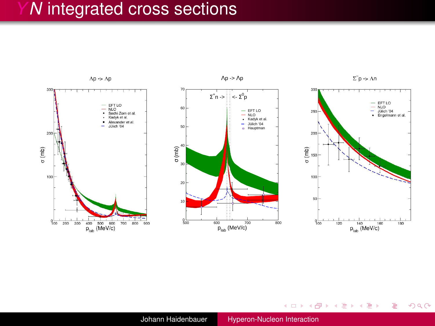

メロトメ 御 トメ 君 トメ 君 トー

÷,

 $299$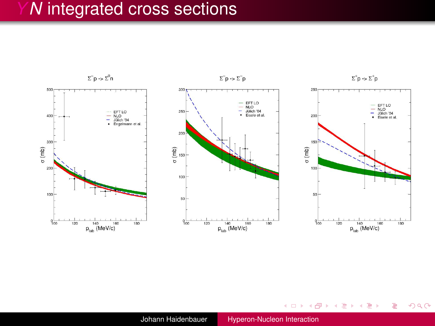

メロメメ 御 メメ ミメメ ヨメー

÷,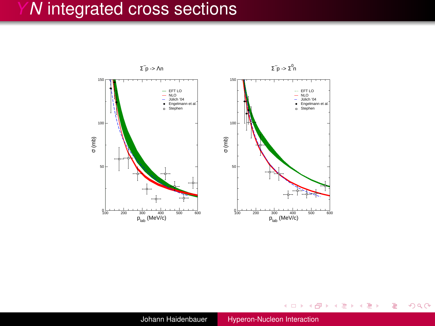

Johann Haidenbauer [Hyperon-Nucleon Interaction](#page-0-0)

メロメメ 御きメ 電子 メモメー

÷.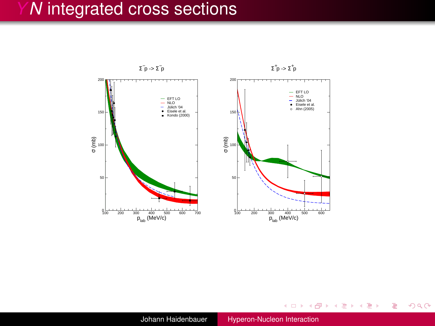

Johann Haidenbauer [Hyperon-Nucleon Interaction](#page-0-0)

イロト 不優 トメ 君 トメ 君 トー

唐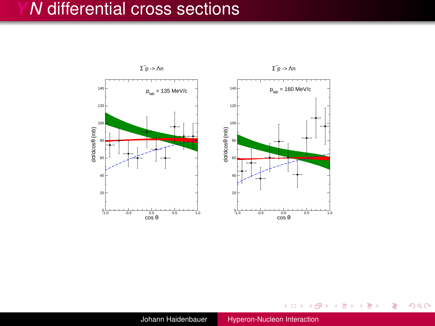## *N* differential cross sections



メモドメモドー

 $\leftarrow$   $\Box$   $\rightarrow$  $\triangleleft$   $\oplus$  $\mathbf{p}_i$  ÷,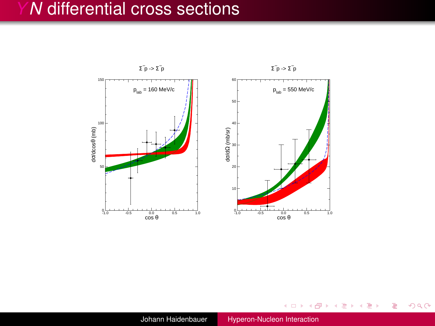## *N* differential cross sections



メモドメモドー

 $\mathbf{p}_i$ 

÷,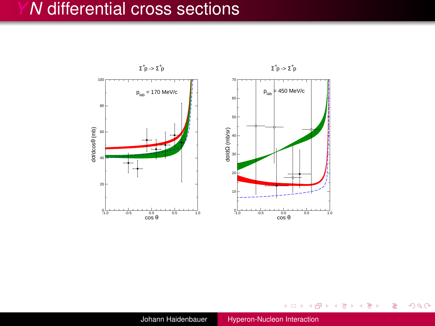## *N* differential cross sections



 $\mathbf{p}$ 

医电影 化重新分

÷.

 $2Q$ 

Johann Haidenbauer [Hyperon-Nucleon Interaction](#page-0-0)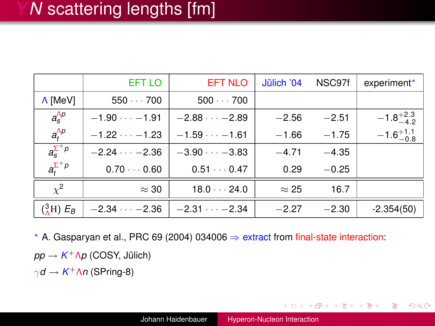|                                 | EFT LO             | <b>EFT NLO</b>       | Jülich '04   | NSC97f  | experiment*          |
|---------------------------------|--------------------|----------------------|--------------|---------|----------------------|
| A [MeV]                         | 550700             | $500 \cdots 700$     |              |         |                      |
| $a_s^{\Lambda p}$               | $-1.90 -1.91$      | $-2.88 -2.89$        | $-2.56$      | $-2.51$ | $-1.8^{+2.3}_{-4.2}$ |
| $a_t^{\Lambda p}$               | $-1.22 -1.23$      | $-1.59 -1.61$        | $-1.66$      | $-1.75$ | $-1.6^{+1.1}_{-0.8}$ |
| $a_{\rm s}^{\Sigma^+ p}$        | $-2.24 -2.36$      | $-3.90 -3.83$        | $-4.71$      | $-4.35$ |                      |
| $a_{t}^{\sum^{+}}$ <sup>p</sup> | $0.70 \cdots 0.60$ | $0.51 \cdots 0.47$   | 0.29         | $-0.25$ |                      |
| $\chi^2$                        | $\approx 30$       | $18.0 \cdots 24.0$   | $\approx$ 25 | 16.7    |                      |
| $({}^{3}_{\Lambda}H) E_B$       | $-2.34 -2.36$      | $-2.31 \cdots -2.34$ | $-2.27$      | $-2.30$ | $-2.354(50)$         |

<sup>∗</sup> A. Gasparyan et al., PRC 69 (2004) 034006 ⇒ extract from final-state interaction:

*pp* → *K* <sup>+</sup>Λ*p* (COSY, Jülich)

 $γd$  →  $K<sup>+</sup>Λn$  (SPring-8)

イロト イ押 トイヨ トイヨ トー

э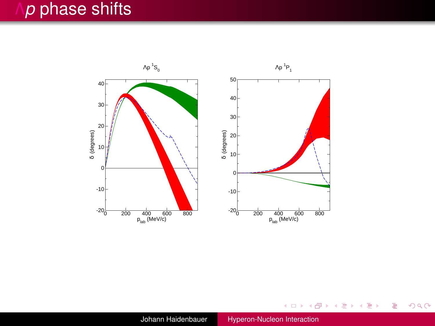# *p* phase shifts



Johann Haidenbauer [Hyperon-Nucleon Interaction](#page-0-0)

イロトメ 御 トメ 君 トメ 君 トー 君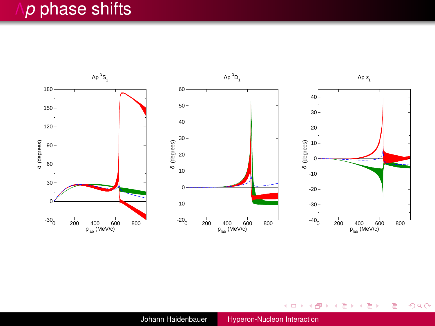# *p* phase shifts



メロトメ 御 トメ 君 トメ 君 トー

重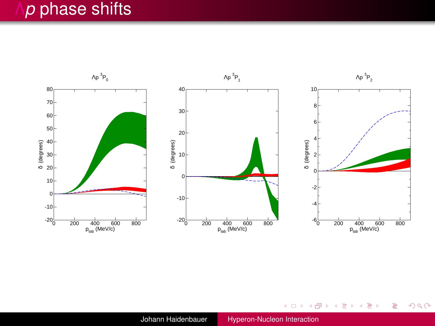# Λ*p* phase shifts



 $2Q$ 

重

メロトメ 御 トメ 君 トメ 君 トー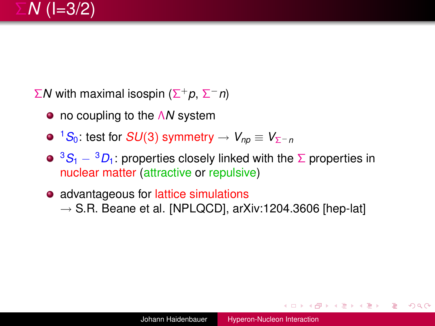

Σ*N* with maximal isospin (Σ <sup>+</sup>*p*, Σ <sup>−</sup>*n*)

- no coupling to the Λ*N* system
- $\bullet$  <sup>1</sup>S<sub>0</sub>: test for *SU*(3) symmetry  $\to V_{np} \equiv V_{\Sigma^-p}$

**•** <sup>3</sup>*S*<sub>1</sub> − <sup>3</sup>*D*<sub>1</sub>: properties closely linked with the Σ properties in nuclear matter (attractive or repulsive)

• advantageous for lattice simulations  $\rightarrow$  S.R. Beane et al. [NPLQCD], arXiv:1204.3606 [hep-lat]

←ロ ▶ ( 何 ) → ( ヨ ) → ( ヨ ) →

э

 $QQQ$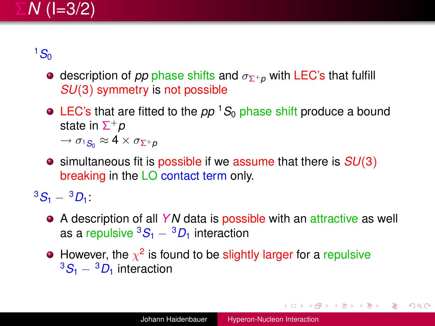

 $1S<sub>0</sub>$ 

- **e** description of *pp* phase shifts and  $\sigma_{\Sigma^+p}$  with LEC's that fulfill *SU*(3) symmetry is not possible
- $\bullet$  LEC's that are fitted to the *pp* <sup>1</sup> $S_0$  phase shift produce a bound state in Σ <sup>+</sup>*p*

 $\rightarrow \sigma_1$ <sub>S</sub><sup>2</sup>  $\approx 4 \times \sigma_{\Sigma^+p}$ 

simultaneous fit is possible if we assume that there is *SU*(3) breaking in the LO contact term only.

 ${}^{3}S_{1} - {}^{3}D_{1}$ 

- A description of all *YN* data is possible with an attractive as well as a repulsive  ${}^3S_1 - {}^3D_1$  interaction
- However, the  $\chi^2$  is found to be slightly larger for a repulsive <sup>3</sup>*S*<sup>1</sup> <sup>−</sup> <sup>3</sup>*D*<sup>1</sup> interaction

イロン イ押ン イヨン イヨン 一重

 $QQQ$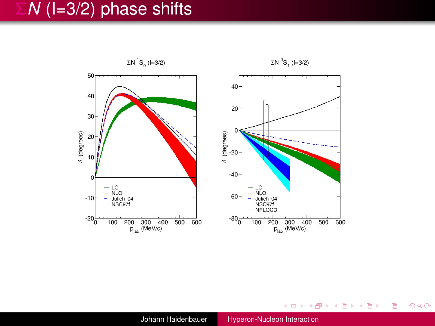# Σ*N* (I=3/2) phase shifts



メロメメ 御きメ 電子 メモメー

÷.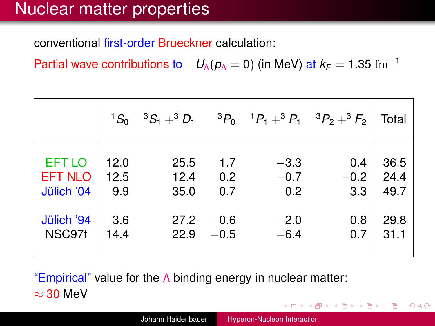# Nuclear matter properties

conventional first-order Brueckner calculation:

Partial wave contributions to  $-U_0(\rho_0=0)$  (in MeV) at  $k_F = 1.35$  fm<sup>-1</sup>

|                | $^{1}S_{0}$ | $3S_1 + 3D_1$ |        | $^{3}P_{0}$ $^{1}P_{1}$ + $^{3}P_{1}$ $^{3}P_{2}$ + $^{3}F_{2}$ |        | Total |
|----------------|-------------|---------------|--------|-----------------------------------------------------------------|--------|-------|
| <b>EFT LO</b>  | 12.0        | 25.5          | 1.7    | $-3.3$                                                          | 0.4    | 36.5  |
| <b>EFT NLO</b> | 12.5        | 12.4          | 0.2    | $-0.7$                                                          | $-0.2$ | 24.4  |
| Jülich '04     | 9.9         | 35.0          | 0.7    | 0.2                                                             | 3.3    | 49.7  |
| Jülich '94     | 3.6         | 27.2          | $-0.6$ | $-2.0$                                                          | 0.8    | 29.8  |
| NSC97f         | 14.4        | 22.9          | $-0.5$ | $-6.4$                                                          | 0.7    | 31.1  |

"Empirical" value for the  $\Lambda$  binding energy in nuclear matter:  $\approx$  30 MeV K 何 ▶ K ヨ ▶ K ヨ ▶ ...

÷,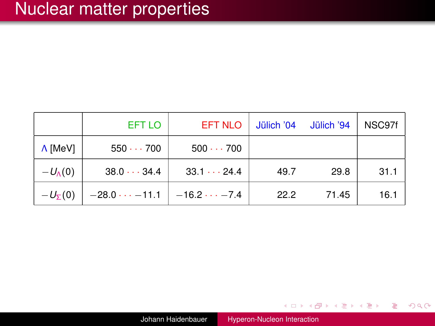|                   | EFT LO               | <b>EFT NLO</b>      | Jülich '04 | Jülich '94 | NSC97f |
|-------------------|----------------------|---------------------|------------|------------|--------|
| A [MeV]           | 550700               | $500 \cdots 700$    |            |            |        |
| $-U_{\Lambda}(0)$ | $38.0 \cdots 34.4$   | $33.1 \cdots 24.4$  | 49.7       | 29.8       | 31.1   |
| $-U_{\Sigma}(0)$  | $-28.0 \cdots -11.1$ | $-16.2 \cdots -7.4$ | 22.2       | 71.45      | 16.1   |

メロメメ 御 メメ ミメメ ヨメー

重